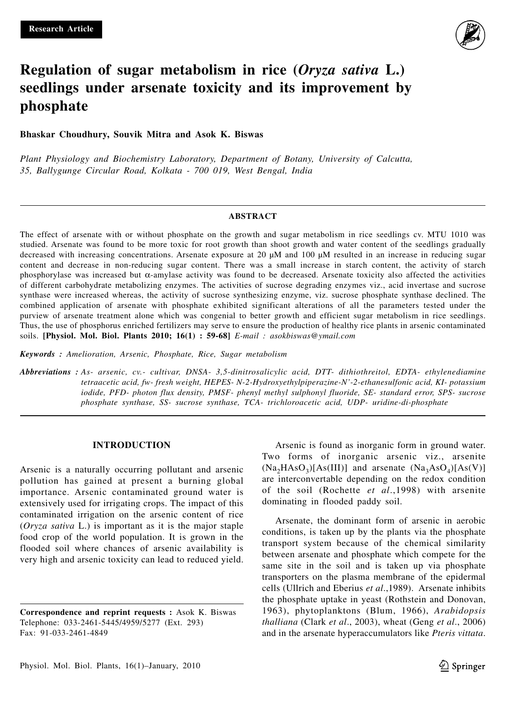

# **Regulation of sugar metabolism in rice (***Oryza sativa* **L.) seedlings under arsenate toxicity and its improvement by phosphate**

**Bhaskar Choudhury, Souvik Mitra and Asok K. Biswas**

*Plant Physiology and Biochemistry Laboratory, Department of Botany, University of Calcutta, 35, Ballygunge Circular Road, Kolkata - 700 019, West Bengal, India*

#### **ABSTRACT**

The effect of arsenate with or without phosphate on the growth and sugar metabolism in rice seedlings cv. MTU 1010 was studied. Arsenate was found to be more toxic for root growth than shoot growth and water content of the seedlings gradually decreased with increasing concentrations. Arsenate exposure at 20 μM and 100 μM resulted in an increase in reducing sugar content and decrease in non-reducing sugar content. There was a small increase in starch content, the activity of starch phosphorylase was increased but α-amylase activity was found to be decreased. Arsenate toxicity also affected the activities of different carbohydrate metabolizing enzymes. The activities of sucrose degrading enzymes viz., acid invertase and sucrose synthase were increased whereas, the activity of sucrose synthesizing enzyme, viz. sucrose phosphate synthase declined. The combined application of arsenate with phosphate exhibited significant alterations of all the parameters tested under the purview of arsenate treatment alone which was congenial to better growth and efficient sugar metabolism in rice seedlings. Thus, the use of phosphorus enriched fertilizers may serve to ensure the production of healthy rice plants in arsenic contaminated soils. **[Physiol. Mol. Biol. Plants 2010; 16(1) : 59-68]** *E-mail : asokbiswas@ymail.com*

*Keywords : Amelioration, Arsenic, Phosphate, Rice, Sugar metabolism*

*Abbreviations : As- arsenic, cv.- cultivar, DNSA- 3,5-dinitrosalicylic acid, DTT- dithiothreitol, EDTA- ethylenediamine tetraacetic acid, fw- fresh weight, HEPES- N-2-Hydroxyethylpiperazine-N'-2-ethanesulfonic acid, KI- potassium iodide, PFD- photon flux density, PMSF- phenyl methyl sulphonyl fluoride, SE- standard error, SPS- sucrose phosphate synthase, SS- sucrose synthase, TCA- trichloroacetic acid, UDP- uridine-di-phosphate*

## **INTRODUCTION**

Arsenic is a naturally occurring pollutant and arsenic pollution has gained at present a burning global importance. Arsenic contaminated ground water is extensively used for irrigating crops. The impact of this contaminated irrigation on the arsenic content of rice (*Oryza sativa* L.) is important as it is the major staple food crop of the world population. It is grown in the flooded soil where chances of arsenic availability is very high and arsenic toxicity can lead to reduced yield.

**Correspondence and reprint requests :** Asok K. Biswas Telephone: 033-2461-5445/4959/5277 (Ext. 293) Fax: 91-033-2461-4849

Arsenic is found as inorganic form in ground water. Two forms of inorganic arsenic viz., arsenite  $(Na_2HAsO_2)[As(III)]$  and arsenate  $(Na_2AsO_4)[As(V)]$ are interconvertable depending on the redox condition of the soil (Rochette *et al*.,1998) with arsenite dominating in flooded paddy soil.

Arsenate, the dominant form of arsenic in aerobic conditions, is taken up by the plants via the phosphate transport system because of the chemical similarity between arsenate and phosphate which compete for the same site in the soil and is taken up via phosphate transporters on the plasma membrane of the epidermal cells (Ullrich and Eberius *et al*.,1989). Arsenate inhibits the phosphate uptake in yeast (Rothstein and Donovan, 1963), phytoplanktons (Blum, 1966), *Arabidopsis thalliana* (Clark *et al*., 2003), wheat (Geng *et al*., 2006) and in the arsenate hyperaccumulators like *Pteris vittata*.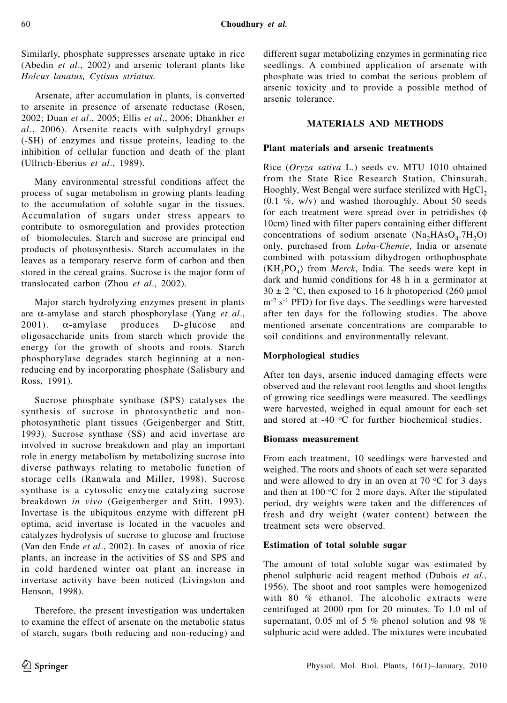Similarly, phosphate suppresses arsenate uptake in rice (Abedin *et al*., 2002) and arsenic tolerant plants like *Holcus lanatus, Cytisus striatus.*

Arsenate, after accumulation in plants, is converted to arsenite in presence of arsenate reductase (Rosen, 2002; Duan *et al*., 2005; Ellis *et al*., 2006; Dhankher *et al*., 2006). Arsenite reacts with sulphydryl groups (-SH) of enzymes and tissue proteins, leading to the inhibition of cellular function and death of the plant **(**Ullrich-Eberius *et al*., 1989).

Many environmental stressful conditions affect the process of sugar metabolism in growing plants leading to the accumulation of soluble sugar in the tissues. Accumulation of sugars under stress appears to contribute to osmoregulation and provides protection of biomolecules. Starch and sucrose are principal end products of photosynthesis. Starch accumulates in the leaves as a temporary reserve form of carbon and then stored in the cereal grains. Sucrose is the major form of translocated carbon (Zhou *et al*., 2002).

Major starch hydrolyzing enzymes present in plants are α-amylase and starch phosphorylase (Yang *et al*., 2001).  $\alpha$ -amylase produces D-glucose and oligosaccharide units from starch which provide the energy for the growth of shoots and roots. Starch phosphorylase degrades starch beginning at a nonreducing end by incorporating phosphate (Salisbury and Ross, 1991).

Sucrose phosphate synthase (SPS) catalyses the synthesis of sucrose in photosynthetic and nonphotosynthetic plant tissues (Geigenberger and Stitt, 1993). Sucrose synthase (SS) and acid invertase are involved in sucrose breakdown and play an important role in energy metabolism by metabolizing sucrose into diverse pathways relating to metabolic function of storage cells (Ranwala and Miller, 1998). Sucrose synthase is a cytosolic enzyme catalyzing sucrose breakdown *in vivo* (Geigenberger and Stitt, 1993). Invertase is the ubiquitous enzyme with different pH optima, acid invertase is located in the vacuoles and catalyzes hydrolysis of sucrose to glucose and fructose (Van den Ende *et al*., 2002). In cases of anoxia of rice plants, an increase in the activities of SS and SPS and in cold hardened winter oat plant an increase in invertase activity have been noticed (Livingston and Henson, 1998).

Therefore, the present investigation was undertaken to examine the effect of arsenate on the metabolic status of starch, sugars (both reducing and non-reducing) and

different sugar metabolizing enzymes in germinating rice seedlings. A combined application of arsenate with phosphate was tried to combat the serious problem of arsenic toxicity and to provide a possible method of arsenic tolerance.

# **MATERIALS AND METHODS**

## **Plant materials and arsenic treatments**

Rice (*Oryza sativa* L.) seeds cv. MTU 1010 obtained from the State Rice Research Station, Chinsurah, Hooghly, West Bengal were surface sterilized with  $HgCl<sub>2</sub>$  $(0.1 \%)$ , w/v) and washed thoroughly. About 50 seeds for each treatment were spread over in petridishes (φ 10cm) lined with filter papers containing either different concentrations of sodium arsenate  $(Na_2HAsO_4.7H_2O)$ only, purchased from *Loba-Chemie*, India or arsenate combined with potassium dihydrogen orthophosphate  $(KH<sub>2</sub>PO<sub>4</sub>)$  from *Merck*, India. The seeds were kept in dark and humid conditions for 48 h in a germinator at  $30 \pm 2$  °C, then exposed to 16 h photoperiod (260 µmol  $m<sup>2</sup>$  s<sup>-1</sup> PFD) for five days. The seedlings were harvested after ten days for the following studies. The above mentioned arsenate concentrations are comparable to soil conditions and environmentally relevant.

# **Morphological studies**

After ten days, arsenic induced damaging effects were observed and the relevant root lengths and shoot lengths of growing rice seedlings were measured. The seedlings were harvested, weighed in equal amount for each set and stored at -40  $\mathrm{^{\circ}C}$  for further biochemical studies.

# **Biomass measurement**

From each treatment, 10 seedlings were harvested and weighed. The roots and shoots of each set were separated and were allowed to dry in an oven at 70  $\rm{^oC}$  for 3 days and then at 100  $\mathrm{^{\circ}C}$  for 2 more days. After the stipulated period, dry weights were taken and the differences of fresh and dry weight (water content) between the treatment sets were observed.

# **Estimation of total soluble sugar**

The amount of total soluble sugar was estimated by phenol sulphuric acid reagent method (Dubois *et al.,* 1956). The shoot and root samples were homogenized with 80 % ethanol. The alcoholic extracts were centrifuged at 2000 rpm for 20 minutes. To 1.0 ml of supernatant, 0.05 ml of 5 % phenol solution and 98 % sulphuric acid were added. The mixtures were incubated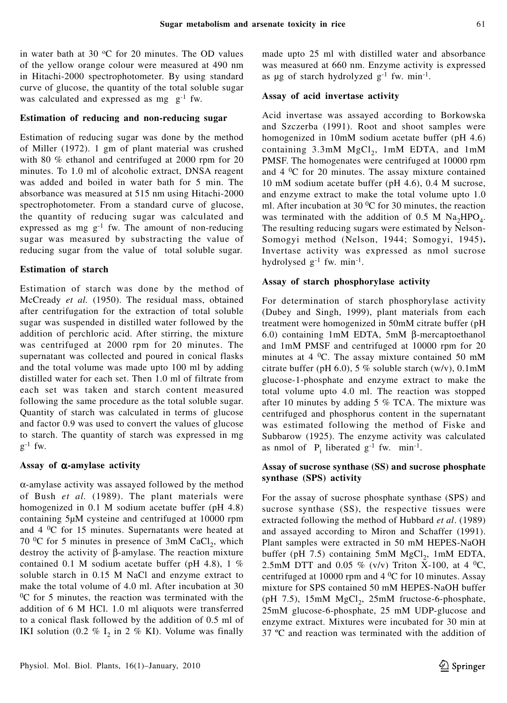in water bath at 30  $\mathrm{^{\circ}C}$  for 20 minutes. The OD values of the yellow orange colour were measured at 490 nm in Hitachi-2000 spectrophotometer. By using standard curve of glucose, the quantity of the total soluble sugar was calculated and expressed as mg  $g^{-1}$  fw.

## **Estimation of reducing and non-reducing sugar**

Estimation of reducing sugar was done by the method of Miller (1972). 1 gm of plant material was crushed with 80 % ethanol and centrifuged at 2000 rpm for 20 minutes. To 1.0 ml of alcoholic extract, DNSA reagent was added and boiled in water bath for 5 min. The absorbance was measured at 515 nm using Hitachi-2000 spectrophotometer. From a standard curve of glucose, the quantity of reducing sugar was calculated and expressed as mg  $g^{-1}$  fw. The amount of non-reducing sugar was measured by substracting the value of reducing sugar from the value of total soluble sugar.

# **Estimation of starch**

Estimation of starch was done by the method of McCready *et al.* (1950). The residual mass, obtained after centrifugation for the extraction of total soluble sugar was suspended in distilled water followed by the addition of perchloric acid. After stirring, the mixture was centrifuged at 2000 rpm for 20 minutes. The supernatant was collected and poured in conical flasks and the total volume was made upto 100 ml by adding distilled water for each set. Then 1.0 ml of filtrate from each set was taken and starch content measured following the same procedure as the total soluble sugar. Quantity of starch was calculated in terms of glucose and factor 0.9 was used to convert the values of glucose to starch. The quantity of starch was expressed in mg  $g^{-1}$  fw.

# **Assay of** α**-amylase activity**

 $\alpha$ -amylase activity was assayed followed by the method of Bush *et al.* (1989). The plant materials were homogenized in 0.1 M sodium acetate buffer (pH 4.8) containing 5μM cysteine and centrifuged at 10000 rpm and  $4 \, \text{°C}$  for 15 minutes. Supernatants were heated at 70  $^{\circ}$ C for 5 minutes in presence of 3mM CaCl<sub>2</sub>, which destroy the activity of β-amylase. The reaction mixture contained 0.1 M sodium acetate buffer (pH 4.8),  $1\%$ soluble starch in 0.15 M NaCl and enzyme extract to make the total volume of 4.0 ml. After incubation at 30  $\rm{^{0}C}$  for 5 minutes, the reaction was terminated with the addition of 6 M HCl. 1.0 ml aliquots were transferred to a conical flask followed by the addition of 0.5 ml of IKI solution (0.2  $%$  I<sub>2</sub> in 2  $%$  KI). Volume was finally

made upto 25 ml with distilled water and absorbance was measured at 660 nm. Enzyme activity is expressed as μg of starch hydrolyzed  $g^{-1}$  fw. min<sup>-1</sup>.

## **Assay of acid invertase activity**

Acid invertase was assayed according to Borkowska and Szczerba (1991). Root and shoot samples were homogenized in 10mM sodium acetate buffer (pH 4.6) containing  $3.3 \text{mM}$  MgCl<sub>2</sub>, 1mM EDTA, and 1mM PMSF. The homogenates were centrifuged at 10000 rpm and 4 0C for 20 minutes. The assay mixture contained 10 mM sodium acetate buffer (pH 4.6), 0.4 M sucrose, and enzyme extract to make the total volume upto 1.0 ml. After incubation at 30  $\rm{^0C}$  for 30 minutes, the reaction was terminated with the addition of 0.5 M  $\text{Na}_2\text{HPO}_4$ . The resulting reducing sugars were estimated by Nelson-Somogyi method (Nelson, 1944; Somogyi, 1945)**.** Invertase activity was expressed as nmol sucrose hydrolysed  $g^{-1}$  fw. min<sup>-1</sup>.

# **Assay of starch phosphorylase activity**

For determination of starch phosphorylase activity (Dubey and Singh, 1999), plant materials from each treatment were homogenized in 50mM citrate buffer (pH 6.0) containing 1mM EDTA, 5mM β-mercaptoethanol and 1mM PMSF and centrifuged at 10000 rpm for 20 minutes at 4  $^0C$ . The assay mixture contained 50 mM citrate buffer (pH 6.0), 5 % soluble starch (w/v),  $0.1 \text{mM}$ glucose-1-phosphate and enzyme extract to make the total volume upto 4.0 ml. The reaction was stopped after 10 minutes by adding 5 % TCA. The mixture was centrifuged and phosphorus content in the supernatant was estimated following the method of Fiske and Subbarow (1925). The enzyme activity was calculated as nmol of  $P_i$  liberated  $g^{-1}$  fw. min<sup>-1</sup>.

# **Assay of sucrose synthase (SS) and sucrose phosphate synthase (SPS) activity**

For the assay of sucrose phosphate synthase (SPS) and sucrose synthase (SS), the respective tissues were extracted following the method of Hubbard *et al*. (1989) and assayed according to Miron and Schaffer (1991). Plant samples were extracted in 50 mM HEPES-NaOH buffer (pH 7.5) containing 5mM MgCl<sub>2</sub>, 1mM EDTA, 2.5mM DTT and 0.05 % (v/v) Triton X-100, at 4  $^{0}C$ , centrifuged at 10000 rpm and  $4 \degree C$  for 10 minutes. Assay mixture for SPS contained 50 mM HEPES-NaOH buffer (pH  $7.5$ ),  $15 \text{mM}$  MgCl<sub>2</sub>,  $25 \text{mM}$  fructose-6-phosphate, 25mM glucose-6-phosphate, 25 mM UDP-glucose and enzyme extract. Mixtures were incubated for 30 min at 37 ºC and reaction was terminated with the addition of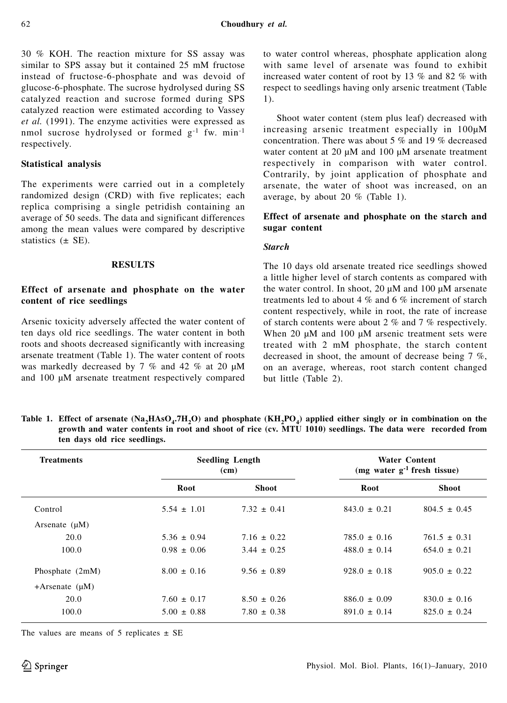30 % KOH. The reaction mixture for SS assay was similar to SPS assay but it contained 25 mM fructose instead of fructose-6-phosphate and was devoid of glucose-6-phosphate. The sucrose hydrolysed during SS catalyzed reaction and sucrose formed during SPS catalyzed reaction were estimated according to Vassey *et al.* (1991). The enzyme activities were expressed as nmol sucrose hydrolysed or formed g-1 fw. min-1 respectively.

## **Statistical analysis**

The experiments were carried out in a completely randomized design (CRD) with five replicates; each replica comprising a single petridish containing an average of 50 seeds. The data and significant differences among the mean values were compared by descriptive statistics  $(\pm$  SE).

#### **RESULTS**

# **Effect of arsenate and phosphate on the water content of rice seedlings**

Arsenic toxicity adversely affected the water content of ten days old rice seedlings. The water content in both roots and shoots decreased significantly with increasing arsenate treatment (Table 1). The water content of roots was markedly decreased by 7 % and 42 % at 20 μM and 100 μM arsenate treatment respectively compared

to water control whereas, phosphate application along with same level of arsenate was found to exhibit increased water content of root by 13 % and 82 % with respect to seedlings having only arsenic treatment (Table 1).

Shoot water content (stem plus leaf) decreased with increasing arsenic treatment especially in 100μM concentration. There was about 5 % and 19 % decreased water content at 20 μM and 100 μM arsenate treatment respectively in comparison with water control. Contrarily, by joint application of phosphate and arsenate, the water of shoot was increased, on an average, by about 20 % (Table 1).

# **Effect of arsenate and phosphate on the starch and sugar content**

#### *Starch*

The 10 days old arsenate treated rice seedlings showed a little higher level of starch contents as compared with the water control. In shoot, 20 μM and 100 μM arsenate treatments led to about 4 % and 6 % increment of starch content respectively, while in root, the rate of increase of starch contents were about 2 % and 7 % respectively. When 20 μM and 100 μM arsenic treatment sets were treated with 2 mM phosphate, the starch content decreased in shoot, the amount of decrease being 7 %, on an average, whereas, root starch content changed but little (Table 2).

Table 1. Effect of arsenate  $(Na_2HAsO_4.7H_2O)$  and phosphate  $(KH_2PO_4)$  applied either singly or in combination on the **growth and water contents in root and shoot of rice (cv. MTU 1010) seedlings. The data were recorded from ten days old rice seedlings.**

| <b>Treatments</b>   | <b>Seedling Length</b><br>(cm) |                 |                  | <b>Water Content</b><br>(mg water $g^{-1}$ fresh tissue) |  |
|---------------------|--------------------------------|-----------------|------------------|----------------------------------------------------------|--|
|                     | Root                           | <b>Shoot</b>    | Root             | <b>Shoot</b>                                             |  |
| Control             | $5.54 \pm 1.01$                | $7.32 \pm 0.41$ | $843.0 \pm 0.21$ | $804.5 \pm 0.45$                                         |  |
| Arsenate $(\mu M)$  |                                |                 |                  |                                                          |  |
| 20.0                | $5.36 \pm 0.94$                | $7.16 \pm 0.22$ | $785.0 \pm 0.16$ | $761.5 \pm 0.31$                                         |  |
| 100.0               | $0.98 \pm 0.06$                | $3.44 \pm 0.25$ | $488.0 \pm 0.14$ | $654.0 \pm 0.21$                                         |  |
| Phosphate (2mM)     | $8.00 \pm 0.16$                | $9.56 \pm 0.89$ | $928.0 \pm 0.18$ | $905.0 \pm 0.22$                                         |  |
| +Arsenate $(\mu M)$ |                                |                 |                  |                                                          |  |
| 20.0                | $7.60 \pm 0.17$                | $8.50 \pm 0.26$ | $886.0 \pm 0.09$ | $830.0 \pm 0.16$                                         |  |
| 100.0               | $5.00 \pm 0.88$                | $7.80 \pm 0.38$ | $891.0 \pm 0.14$ | $825.0 \pm 0.24$                                         |  |

The values are means of 5 replicates  $\pm$  SE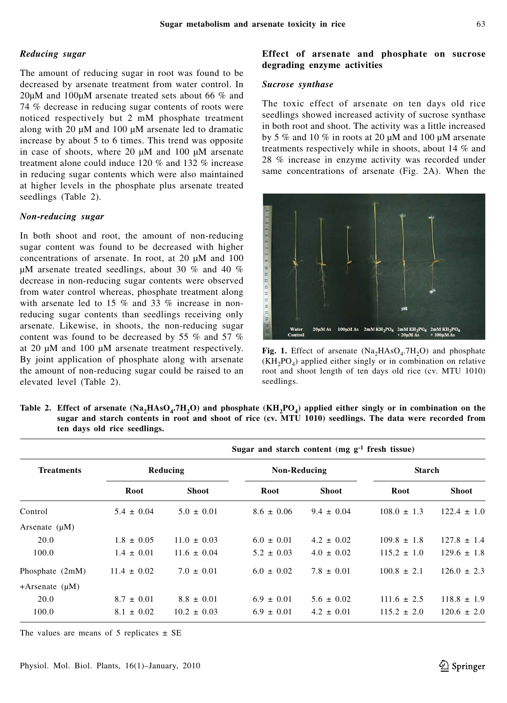## *Reducing sugar*

The amount of reducing sugar in root was found to be decreased by arsenate treatment from water control. In 20μM and 100μM arsenate treated sets about 66 % and 74 % decrease in reducing sugar contents of roots were noticed respectively but 2 mM phosphate treatment along with 20 μM and 100 μM arsenate led to dramatic increase by about 5 to 6 times. This trend was opposite in case of shoots, where 20 μM and 100 μM arsenate treatment alone could induce 120 % and 132 % increase in reducing sugar contents which were also maintained at higher levels in the phosphate plus arsenate treated seedlings (Table 2).

#### *Non-reducing sugar*

In both shoot and root, the amount of non-reducing sugar content was found to be decreased with higher concentrations of arsenate. In root, at 20 μM and 100 μM arsenate treated seedlings, about 30 % and 40 % decrease in non-reducing sugar contents were observed from water control whereas, phosphate treatment along with arsenate led to 15 % and 33 % increase in nonreducing sugar contents than seedlings receiving only arsenate. Likewise, in shoots, the non-reducing sugar content was found to be decreased by 55 % and 57 % at 20 μM and 100 μM arsenate treatment respectively. By joint application of phosphate along with arsenate the amount of non-reducing sugar could be raised to an elevated level (Table 2).

## **Effect of arsenate and phosphate on sucrose degrading enzyme activities**

## *Sucrose synthase*

The toxic effect of arsenate on ten days old rice seedlings showed increased activity of sucrose synthase in both root and shoot. The activity was a little increased by 5 % and 10 % in roots at 20 μM and 100 μM arsenate treatments respectively while in shoots, about 14 % and 28 % increase in enzyme activity was recorded under same concentrations of arsenate (Fig. 2A). When the



**Fig. 1.** Effect of arsenate  $(Na_2HAsO_4.7H_2O)$  and phosphate  $(KH, PO<sub>A</sub>)$  applied either singly or in combination on relative root and shoot length of ten days old rice (cv. MTU 1010) seedlings.

| Table 2. Effect of arsenate $(Na_2HASO_4.7H_2O)$ and phosphate $(KH_2PO_4)$ applied either singly or in combination on the |  |  |  |  |  |
|----------------------------------------------------------------------------------------------------------------------------|--|--|--|--|--|
| sugar and starch contents in root and shoot of rice (cv. MTU 1010) seedlings. The data were recorded from                  |  |  |  |  |  |
| ten days old rice seedlings.                                                                                               |  |  |  |  |  |

| <b>Treatments</b>       | Sugar and starch content $(mg g-1)$ fresh tissue) |                 |                |                |                 |                 |  |  |
|-------------------------|---------------------------------------------------|-----------------|----------------|----------------|-----------------|-----------------|--|--|
|                         | Reducing                                          |                 | Non-Reducing   |                | <b>Starch</b>   |                 |  |  |
|                         | Root                                              | Shoot           | Root           | <b>Shoot</b>   | Root            | Shoot           |  |  |
| Control                 | $5.4 \pm 0.04$                                    | $5.0 \pm 0.01$  | $8.6 \pm 0.06$ | $9.4 \pm 0.04$ | $108.0 \pm 1.3$ | $122.4 \pm 1.0$ |  |  |
| Arsenate $(\mu M)$      |                                                   |                 |                |                |                 |                 |  |  |
| 20.0                    | $1.8 \pm 0.05$                                    | $11.0 \pm 0.03$ | $6.0 \pm 0.01$ | $4.2 \pm 0.02$ | $109.8 \pm 1.8$ | $127.8 \pm 1.4$ |  |  |
| 100.0                   | $1.4 \pm 0.01$                                    | $11.6 \pm 0.04$ | $5.2 \pm 0.03$ | $4.0 \pm 0.02$ | $115.2 \pm 1.0$ | $129.6 \pm 1.8$ |  |  |
| Phosphate (2mM)         | $11.4 \pm 0.02$                                   | $7.0 \pm 0.01$  | $6.0 \pm 0.02$ | $7.8 \pm 0.01$ | $100.8 \pm 2.1$ | $126.0 \pm 2.3$ |  |  |
| $+$ Arsenate ( $\mu$ M) |                                                   |                 |                |                |                 |                 |  |  |
| 20.0                    | $8.7 \pm 0.01$                                    | $8.8 \pm 0.01$  | $6.9 \pm 0.01$ | $5.6 \pm 0.02$ | $111.6 \pm 2.5$ | $118.8 \pm 1.9$ |  |  |
| 100.0                   | $8.1 \pm 0.02$                                    | $10.2 \pm 0.03$ | $6.9 \pm 0.01$ | $4.2 \pm 0.01$ | $115.2 \pm 2.0$ | $120.6 \pm 2.0$ |  |  |

The values are means of 5 replicates  $\pm$  SE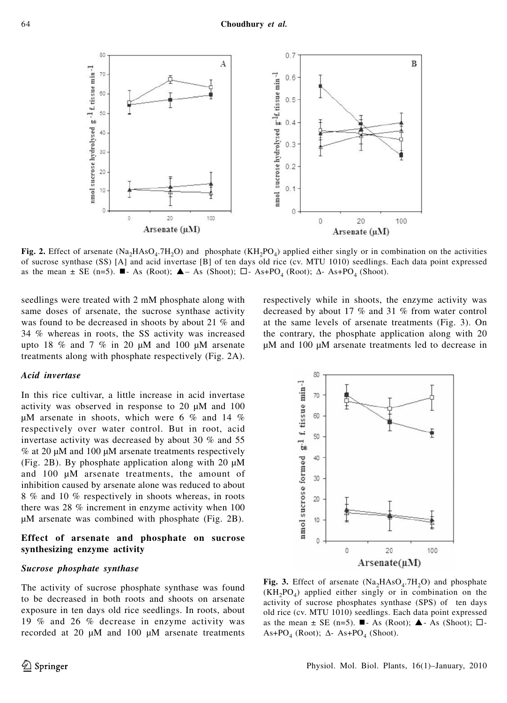

**Fig. 2.** Effect of arsenate (Na<sub>2</sub>HAsO<sub>4</sub>.7H<sub>2</sub>O) and phosphate (KH<sub>2</sub>PO<sub>4</sub>) applied either singly or in combination on the activities of sucrose synthase (SS) [A] and acid invertase [B] of ten days old rice (cv. MTU 1010) seedlings. Each data point expressed as the mean  $\pm$  SE (n=5).  $\blacksquare$ - As (Root);  $\blacktriangle$  - As (Shoot);  $\square$ - As+PO<sub>4</sub> (Root);  $\Delta$ - As+PO<sub>4</sub> (Shoot).

seedlings were treated with 2 mM phosphate along with same doses of arsenate, the sucrose synthase activity was found to be decreased in shoots by about 21 % and 34 % whereas in roots, the SS activity was increased upto 18 % and 7 % in 20  $\mu$ M and 100  $\mu$ M arsenate treatments along with phosphate respectively (Fig. 2A).

## *Acid invertase*

In this rice cultivar, a little increase in acid invertase activity was observed in response to 20 μM and 100 μM arsenate in shoots, which were 6 % and 14 % respectively over water control. But in root, acid invertase activity was decreased by about 30 % and 55 % at 20 μM and 100 μM arsenate treatments respectively (Fig. 2B). By phosphate application along with 20 μM and 100 μM arsenate treatments, the amount of inhibition caused by arsenate alone was reduced to about 8 % and 10 % respectively in shoots whereas, in roots there was 28 % increment in enzyme activity when 100 μM arsenate was combined with phosphate (Fig. 2B).

## **Effect of arsenate and phosphate on sucrose synthesizing enzyme activity**

#### *Sucrose phosphate synthase*

The activity of sucrose phosphate synthase was found to be decreased in both roots and shoots on arsenate exposure in ten days old rice seedlings. In roots, about 19 % and 26 % decrease in enzyme activity was recorded at 20 μM and 100 μM arsenate treatments respectively while in shoots, the enzyme activity was decreased by about 17 % and 31 % from water control at the same levels of arsenate treatments (Fig. 3). On the contrary, the phosphate application along with 20 μM and 100 μM arsenate treatments led to decrease in



**Fig. 3.** Effect of arsenate  $(Na_2HAsO_4.7H_2O)$  and phosphate  $(KH_2PO_4)$  applied either singly or in combination on the activity of sucrose phosphates synthase (SPS) of ten days old rice (cv. MTU 1010) seedlings. Each data point expressed as the mean  $\pm$  SE (n=5).  $\blacksquare$ - As (Root);  $\blacktriangle$ - As (Shoot);  $\square$ - $As+PO_4$  (Root);  $\Delta$ - As+PO<sub>4</sub> (Shoot).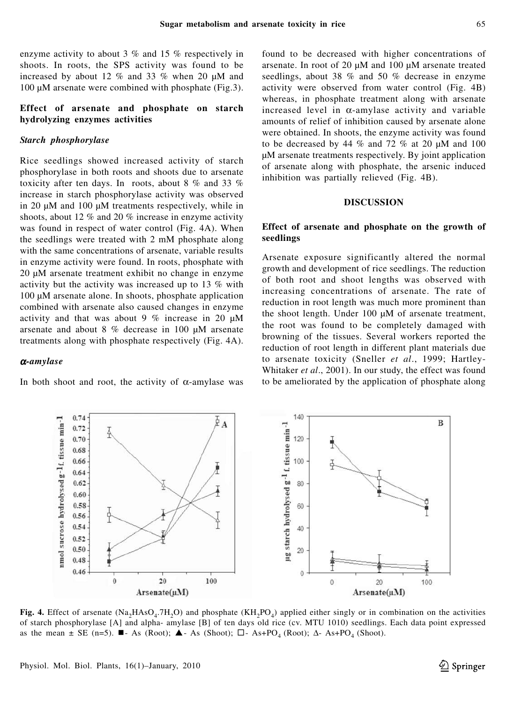enzyme activity to about 3 % and 15 % respectively in shoots. In roots, the SPS activity was found to be increased by about 12 % and 33 % when 20 μM and 100 μM arsenate were combined with phosphate (Fig.3).

## **Effect of arsenate and phosphate on starch hydrolyzing enzymes activities**

## *Starch phosphorylase*

Rice seedlings showed increased activity of starch phosphorylase in both roots and shoots due to arsenate toxicity after ten days. In roots, about 8 % and 33 % increase in starch phosphorylase activity was observed in 20 μM and 100 μM treatments respectively, while in shoots, about 12 % and 20 % increase in enzyme activity was found in respect of water control (Fig. 4A). When the seedlings were treated with 2 mM phosphate along with the same concentrations of arsenate, variable results in enzyme activity were found. In roots, phosphate with 20 μM arsenate treatment exhibit no change in enzyme activity but the activity was increased up to 13 % with 100 μM arsenate alone. In shoots, phosphate application combined with arsenate also caused changes in enzyme activity and that was about 9 % increase in 20 μM arsenate and about 8 % decrease in 100 μM arsenate treatments along with phosphate respectively (Fig. 4A).

## <sup>α</sup>*-amylase*

0.74

0.72

0.70

0.68 0.66 A

In both shoot and root, the activity of  $\alpha$ -amylase was

found to be decreased with higher concentrations of arsenate. In root of 20 μM and 100 μM arsenate treated seedlings, about 38 % and 50 % decrease in enzyme activity were observed from water control (Fig. 4B) whereas, in phosphate treatment along with arsenate increased level in  $\alpha$ -amylase activity and variable amounts of relief of inhibition caused by arsenate alone were obtained. In shoots, the enzyme activity was found to be decreased by 44  $\%$  and 72  $\%$  at 20  $\mu$ M and 100 μM arsenate treatments respectively. By joint application of arsenate along with phosphate, the arsenic induced inhibition was partially relieved (Fig. 4B).

#### **DISCUSSION**

## **Effect of arsenate and phosphate on the growth of seedlings**

Arsenate exposure significantly altered the normal growth and development of rice seedlings. The reduction of both root and shoot lengths was observed with increasing concentrations of arsenate. The rate of reduction in root length was much more prominent than the shoot length. Under 100 μM of arsenate treatment, the root was found to be completely damaged with browning of the tissues. Several workers reported the reduction of root length in different plant materials due to arsenate toxicity (Sneller *et al*., 1999; Hartley-Whitaker *et al*., 2001). In our study, the effect was found to be ameliorated by the application of phosphate along



 $\overline{A}$ 

140

120

100

of starch phosphorylase [A] and alpha- amylase [B] of ten days old rice (cv. MTU 1010) seedlings. Each data point expressed as the mean  $\pm$  SE (n=5).  $\blacksquare$ - As (Root);  $\blacktriangle$ - As (Shoot);  $\square$ - As+PO<sub>4</sub> (Root);  $\Delta$ - As+PO<sub>4</sub> (Shoot).

B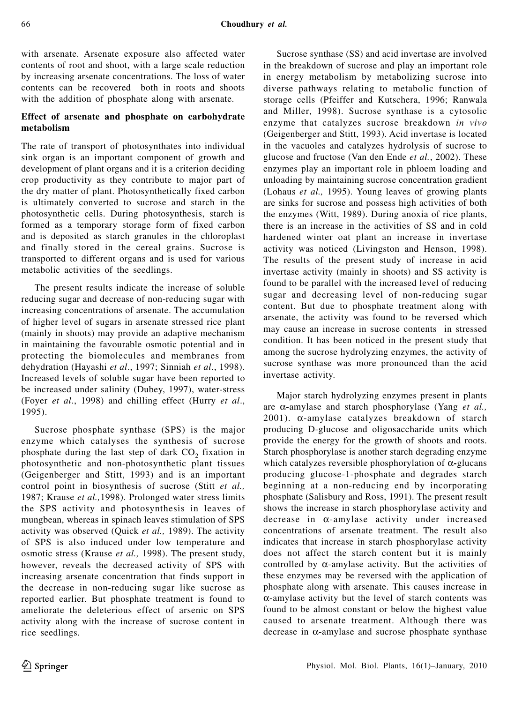with arsenate. Arsenate exposure also affected water contents of root and shoot, with a large scale reduction by increasing arsenate concentrations. The loss of water contents can be recovered both in roots and shoots with the addition of phosphate along with arsenate.

# **Effect of arsenate and phosphate on carbohydrate metabolism**

The rate of transport of photosynthates into individual sink organ is an important component of growth and development of plant organs and it is a criterion deciding crop productivity as they contribute to major part of the dry matter of plant. Photosynthetically fixed carbon is ultimately converted to sucrose and starch in the photosynthetic cells. During photosynthesis, starch is formed as a temporary storage form of fixed carbon and is deposited as starch granules in the chloroplast and finally stored in the cereal grains. Sucrose is transported to different organs and is used for various metabolic activities of the seedlings.

The present results indicate the increase of soluble reducing sugar and decrease of non-reducing sugar with increasing concentrations of arsenate. The accumulation of higher level of sugars in arsenate stressed rice plant (mainly in shoots) may provide an adaptive mechanism in maintaining the favourable osmotic potential and in protecting the biomolecules and membranes from dehydration (Hayashi *et al*., 1997; Sinniah *et al*., 1998). Increased levels of soluble sugar have been reported to be increased under salinity (Dubey, 1997), water-stress (Foyer *et al*., 1998) and chilling effect (Hurry *et al*., 1995).

Sucrose phosphate synthase (SPS) is the major enzyme which catalyses the synthesis of sucrose phosphate during the last step of dark  $CO<sub>2</sub>$  fixation in photosynthetic and non-photosynthetic plant tissues (Geigenberger and Stitt, 1993) and is an important control point in biosynthesis of sucrose (Stitt *et al.,* 1987; Krause *et al.,*1998). Prolonged water stress limits the SPS activity and photosynthesis in leaves of mungbean, whereas in spinach leaves stimulation of SPS activity was observed (Quick *et al.,* 1989). The activity of SPS is also induced under low temperature and osmotic stress (Krause *et al.,* 1998). The present study, however, reveals the decreased activity of SPS with increasing arsenate concentration that finds support in the decrease in non-reducing sugar like sucrose as reported earlier. But phosphate treatment is found to ameliorate the deleterious effect of arsenic on SPS activity along with the increase of sucrose content in rice seedlings.

Sucrose synthase (SS) and acid invertase are involved in the breakdown of sucrose and play an important role in energy metabolism by metabolizing sucrose into diverse pathways relating to metabolic function of storage cells (Pfeiffer and Kutschera, 1996; Ranwala and Miller, 1998). Sucrose synthase is a cytosolic enzyme that catalyzes sucrose breakdown *in vivo* (Geigenberger and Stitt, 1993). Acid invertase is located in the vacuoles and catalyzes hydrolysis of sucrose to glucose and fructose (Van den Ende *et al.*, 2002). These enzymes play an important role in phloem loading and unloading by maintaining sucrose concentration gradient (Lohaus *et al.,* 1995). Young leaves of growing plants are sinks for sucrose and possess high activities of both the enzymes (Witt, 1989). During anoxia of rice plants, there is an increase in the activities of SS and in cold hardened winter oat plant an increase in invertase activity was noticed (Livingston and Henson, 1998). The results of the present study of increase in acid invertase activity (mainly in shoots) and SS activity is found to be parallel with the increased level of reducing sugar and decreasing level of non-reducing sugar content. But due to phosphate treatment along with arsenate, the activity was found to be reversed which may cause an increase in sucrose contents in stressed condition. It has been noticed in the present study that among the sucrose hydrolyzing enzymes, the activity of sucrose synthase was more pronounced than the acid invertase activity.

Major starch hydrolyzing enzymes present in plants are α-amylase and starch phosphorylase (Yang *et al.,* 2001). α-amylase catalyzes breakdown of starch producing D-glucose and oligosaccharide units which provide the energy for the growth of shoots and roots. Starch phosphorylase is another starch degrading enzyme which catalyzes reversible phosphorylation of α**-**glucans producing glucose-1-phosphate and degrades starch beginning at a non-reducing end by incorporating phosphate (Salisbury and Ross, 1991). The present result shows the increase in starch phosphorylase activity and decrease in α-amylase activity under increased concentrations of arsenate treatment. The result also indicates that increase in starch phosphorylase activity does not affect the starch content but it is mainly controlled by  $\alpha$ -amylase activity. But the activities of these enzymes may be reversed with the application of phosphate along with arsenate. This causes increase in α-amylase activity but the level of starch contents was found to be almost constant or below the highest value caused to arsenate treatment. Although there was decrease in  $\alpha$ -amylase and sucrose phosphate synthase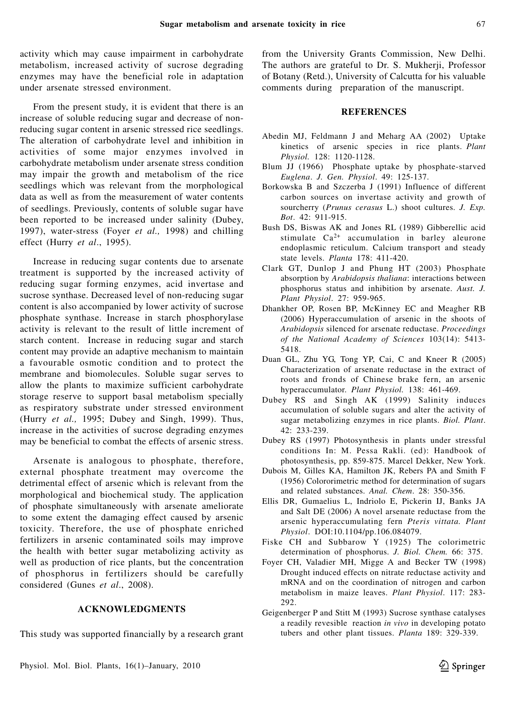activity which may cause impairment in carbohydrate metabolism, increased activity of sucrose degrading enzymes may have the beneficial role in adaptation under arsenate stressed environment.

From the present study, it is evident that there is an increase of soluble reducing sugar and decrease of nonreducing sugar content in arsenic stressed rice seedlings. The alteration of carbohydrate level and inhibition in activities of some major enzymes involved in carbohydrate metabolism under arsenate stress condition may impair the growth and metabolism of the rice seedlings which was relevant from the morphological data as well as from the measurement of water contents of seedlings. Previously, contents of soluble sugar have been reported to be increased under salinity (Dubey, 1997), water-stress (Foyer *et al.,* 1998) and chilling effect (Hurry *et al*., 1995).

Increase in reducing sugar contents due to arsenate treatment is supported by the increased activity of reducing sugar forming enzymes, acid invertase and sucrose synthase. Decreased level of non-reducing sugar content is also accompanied by lower activity of sucrose phosphate synthase. Increase in starch phosphorylase activity is relevant to the result of little increment of starch content. Increase in reducing sugar and starch content may provide an adaptive mechanism to maintain a favourable osmotic condition and to protect the membrane and biomolecules. Soluble sugar serves to allow the plants to maximize sufficient carbohydrate storage reserve to support basal metabolism specially as respiratory substrate under stressed environment (Hurry *et al.,* 1995; Dubey and Singh, 1999). Thus, increase in the activities of sucrose degrading enzymes may be beneficial to combat the effects of arsenic stress.

Arsenate is analogous to phosphate, therefore, external phosphate treatment may overcome the detrimental effect of arsenic which is relevant from the morphological and biochemical study. The application of phosphate simultaneously with arsenate ameliorate to some extent the damaging effect caused by arsenic toxicity. Therefore, the use of phosphate enriched fertilizers in arsenic contaminated soils may improve the health with better sugar metabolizing activity as well as production of rice plants, but the concentration of phosphorus in fertilizers should be carefully considered (Gunes *et al*., 2008).

#### **ACKNOWLEDGMENTS**

This study was supported financially by a research grant

from the University Grants Commission, New Delhi. The authors are grateful to Dr. S. Mukherji, Professor of Botany (Retd.), University of Calcutta for his valuable comments during preparation of the manuscript.

#### **REFERENCES**

- Abedin MJ, Feldmann J and Meharg AA (2002) Uptake kinetics of arsenic species in rice plants. *Plant Physiol.* 128: 1120-1128.
- Blum JJ (1966) Phosphate uptake by phosphate-starved *Euglena*. *J. Gen. Physiol*. 49: 125-137.
- Borkowska B and Szczerba J (1991) Influence of different carbon sources on invertase activity and growth of sourcherry (*Prunus cerasus* L.) shoot cultures. *J. Exp. Bot*. 42: 911-915.
- Bush DS, Biswas AK and Jones RL (1989) Gibberellic acid stimulate Ca2+ accumulation in barley aleurone endoplasmic reticulum. Calcium transport and steady state levels. *Planta* 178: 411-420.
- Clark GT, Dunlop J and Phung HT (2003) Phosphate absorption by *Arabidopsis thaliana*: interactions between phosphorus status and inhibition by arsenate. *Aust. J. Plant Physiol*. 27: 959-965.
- Dhankher OP, Rosen BP, McKinney EC and Meagher RB (2006) Hyperaccumulation of arsenic in the shoots of *Arabidopsis* silenced for arsenate reductase. *Proceedings of the National Academy of Sciences* 103(14): 5413- 5418.
- Duan GL, Zhu YG, Tong YP, Cai, C and Kneer R (2005) Characterization of arsenate reductase in the extract of roots and fronds of Chinese brake fern, an arsenic hyperaccumulator. *Plant Physiol.* 138: 461-469.
- Dubey RS and Singh AK (1999) Salinity induces accumulation of soluble sugars and alter the activity of sugar metabolizing enzymes in rice plants. *Biol. Plant*. 42: 233-239.
- Dubey RS (1997) Photosynthesis in plants under stressful conditions In: M. Pessa Rakli. (ed): Handbook of photosynthesis, pp. 859-875. Marcel Dekker, New York.
- Dubois M, Gilles KA, Hamilton JK, Rebers PA and Smith F (1956) Colororimetric method for determination of sugars and related substances. *Anal. Chem*. 28: 350-356.
- Ellis DR, Gumaelius L, Indriolo E, Pickerin IJ, Banks JA and Salt DE (2006) A novel arsenate reductase from the arsenic hyperaccumulating fern *Pteris vittata. Plant Physiol*. DOI:10.1104/pp.106.084079.
- Fiske CH and Subbarow Y (1925) The colorimetric determination of phosphorus. *J. Biol. Chem.* 66: 375.
- Foyer CH, Valadier MH, Migge A and Becker TW (1998) Drought induced effects on nitrate reductase activity and mRNA and on the coordination of nitrogen and carbon metabolism in maize leaves. *Plant Physiol*. 117: 283- 292.
- Geigenberger P and Stitt M (1993) Sucrose synthase catalyses a readily revesible reaction *in vivo* in developing potato tubers and other plant tissues. *Planta* 189: 329-339.